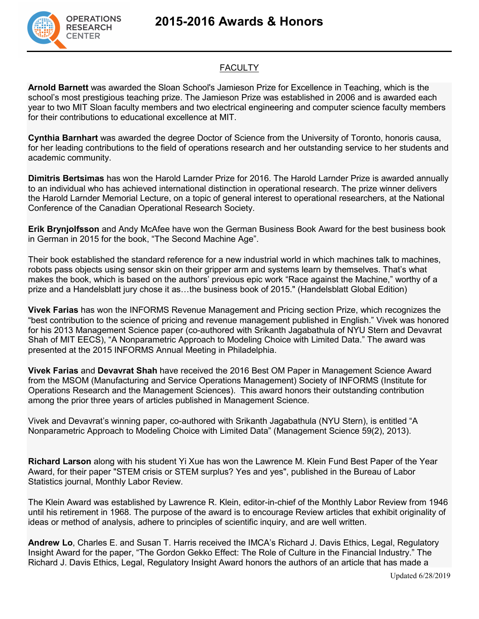## **2015-2016 Awards & Honors**



### **FACULTY**

**Arnold Barnett** was awarded the Sloan School's Jamieson Prize for Excellence in Teaching, which is the school's most prestigious teaching prize. The Jamieson Prize was established in 2006 and is awarded each year to two MIT Sloan faculty members and two electrical engineering and computer science faculty members for their contributions to educational excellence at MIT.

**Cynthia Barnhart** was awarded the degree Doctor of Science from the University of Toronto, honoris causa, for her leading contributions to the field of operations research and her outstanding service to her students and academic community.

**Dimitris Bertsimas** has won the Harold Larnder Prize for 2016. The Harold Larnder Prize is awarded annually to an individual who has achieved international distinction in operational research. The prize winner delivers the Harold Larnder Memorial Lecture, on a topic of general interest to operational researchers, at the National Conference of the Canadian Operational Research Society.

**Erik Brynjolfsson** and Andy McAfee have won the German Business Book Award for the best business book in German in 2015 for the book, "The Second Machine Age".

Their book established the standard reference for a new industrial world in which machines talk to machines, robots pass objects using sensor skin on their gripper arm and systems learn by themselves. That's what makes the book, which is based on the authors' previous epic work "Race against the Machine," worthy of a prize and a Handelsblatt jury chose it as…the business book of 2015." (Handelsblatt Global Edition)

**Vivek Farias** has won the INFORMS Revenue Management and Pricing section Prize, which recognizes the "best contribution to the science of pricing and revenue management published in English." Vivek was honored for his 2013 Management Science paper (co-authored with Srikanth Jagabathula of NYU Stern and Devavrat Shah of MIT EECS), "A Nonparametric Approach to Modeling Choice with Limited Data." The award was presented at the 2015 INFORMS Annual Meeting in Philadelphia.

**Vivek Farias** and **Devavrat Shah** have received the 2016 Best OM Paper in Management Science Award from the MSOM (Manufacturing and Service Operations Management) Society of INFORMS (Institute for Operations Research and the Management Sciences). This award honors their outstanding contribution among the prior three years of articles published in Management Science.

Vivek and Devavrat's winning paper, co-authored with Srikanth Jagabathula (NYU Stern), is entitled "A Nonparametric Approach to Modeling Choice with Limited Data" (Management Science 59(2), 2013).

**Richard Larson** along with his student Yi Xue has won the Lawrence M. Klein Fund Best Paper of the Year Award, for their paper "STEM crisis or STEM surplus? Yes and yes", published in the Bureau of Labor Statistics journal, Monthly Labor Review.

The Klein Award was established by Lawrence R. Klein, editor-in-chief of the Monthly Labor Review from 1946 until his retirement in 1968. The purpose of the award is to encourage Review articles that exhibit originality of ideas or method of analysis, adhere to principles of scientific inquiry, and are well written.

**Andrew Lo**, Charles E. and Susan T. Harris received the IMCA's Richard J. Davis Ethics, Legal, Regulatory Insight Award for the paper, "The Gordon Gekko Effect: The Role of Culture in the Financial Industry." The Richard J. Davis Ethics, Legal, Regulatory Insight Award honors the authors of an article that has made a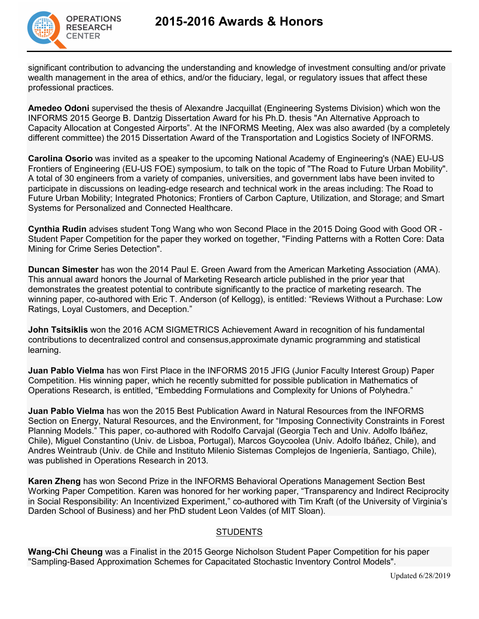# **2015-2016 Awards & Honors**



significant contribution to advancing the understanding and knowledge of investment consulting and/or private wealth management in the area of ethics, and/or the fiduciary, legal, or regulatory issues that affect these professional practices.

**Amedeo Odoni** supervised the thesis of Alexandre Jacquillat (Engineering Systems Division) which won the INFORMS 2015 George B. Dantzig Dissertation Award for his Ph.D. thesis "An Alternative Approach to Capacity Allocation at Congested Airports". At the INFORMS Meeting, Alex was also awarded (by a completely different committee) the 2015 Dissertation Award of the Transportation and Logistics Society of INFORMS.

**Carolina Osorio** was invited as a speaker to the upcoming National Academy of Engineering's (NAE) EU-US Frontiers of Engineering (EU-US FOE) symposium, to talk on the topic of "The Road to Future Urban Mobility". A total of 30 engineers from a variety of companies, universities, and government labs have been invited to participate in discussions on leading-edge research and technical work in the areas including: The Road to Future Urban Mobility; Integrated Photonics; Frontiers of Carbon Capture, Utilization, and Storage; and Smart Systems for Personalized and Connected Healthcare.

**Cynthia Rudin** advises student Tong Wang who won Second Place in the 2015 Doing Good with Good OR - Student Paper Competition for the paper they worked on together, "Finding Patterns with a Rotten Core: Data Mining for Crime Series Detection".

**Duncan Simester** has won the 2014 Paul E. Green Award from the American Marketing Association (AMA). This annual award honors the Journal of Marketing Research article published in the prior year that demonstrates the greatest potential to contribute significantly to the practice of marketing research. The winning paper, co-authored with Eric T. Anderson (of Kellogg), is entitled: "Reviews Without a Purchase: Low Ratings, Loyal Customers, and Deception."

**John Tsitsiklis** won the 2016 ACM SIGMETRICS Achievement Award in recognition of his fundamental contributions to decentralized control and consensus,approximate dynamic programming and statistical learning.

**Juan Pablo Vielma** has won First Place in the INFORMS 2015 JFIG (Junior Faculty Interest Group) Paper Competition. His winning paper, which he recently submitted for possible publication in Mathematics of Operations Research, is entitled, "Embedding Formulations and Complexity for Unions of Polyhedra."

**Juan Pablo Vielma** has won the 2015 Best Publication Award in Natural Resources from the INFORMS Section on Energy, Natural Resources, and the Environment, for "Imposing Connectivity Constraints in Forest Planning Models." This paper, co-authored with Rodolfo Carvajal (Georgia Tech and Univ. Adolfo Ibáñez, Chile), Miguel Constantino (Univ. de Lisboa, Portugal), Marcos Goycoolea (Univ. Adolfo Ibáñez, Chile), and Andres Weintraub (Univ. de Chile and Instituto Milenio Sistemas Complejos de Ingeniería, Santiago, Chile), was published in Operations Research in 2013.

**Karen Zheng** has won Second Prize in the INFORMS Behavioral Operations Management Section Best Working Paper Competition. Karen was honored for her working paper, "Transparency and Indirect Reciprocity in Social Responsibility: An Incentivized Experiment," co-authored with Tim Kraft (of the University of Virginia's Darden School of Business) and her PhD student Leon Valdes (of MIT Sloan).

### **STUDENTS**

**Wang-Chi Cheung** was a Finalist in the 2015 George Nicholson Student Paper Competition for his paper "Sampling-Based Approximation Schemes for Capacitated Stochastic Inventory Control Models".